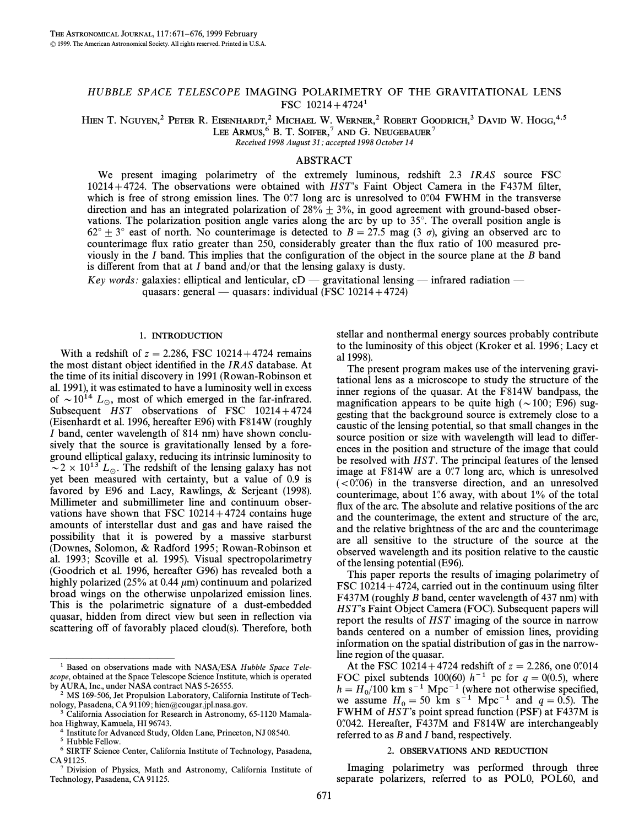# HUBBLE SPACE TELESCOPE IMAGING POLARIMETRY OF THE GRAVITATIONAL LENS FSC  $10214+4724$ <sup>1</sup>

HIEN T. NGUYEN,<sup>2</sup> PETER R. EISENHARDT,<sup>2</sup> MICHAEL W. WERNER,<sup>2</sup> ROBERT GOODRICH,<sup>3</sup> DAVID W. HOGG,<sup>4,5</sup> LEE ARMUS,  $6$  B. T. SOIFER,  $7$  and G. Neugebauer  $7$ 

Received 1998 August 31; accepted 1998 October 14

# ABSTRACT

We present imaging polarimetry of the extremely luminous, redshift 2.3 IRAS source FSC  $10214+4724$ . The observations were obtained with HST's Faint Object Camera in the F437M filter, which is free of strong emission lines. The  $0\rlap{.}''7$  long arc is unresolved to  $0\rlap{.}''04$  FWHM in the transverse direction and has an integrated polarization of  $28\% + 3\%$ , in good agreement with ground-based observations. The polarization position angle varies along the arc by up to  $35^\circ$ . The overall position angle is  $62^{\circ} \pm 3^{\circ}$  east of north. No counterimage is detected to  $B = 27.5$  mag (3  $\sigma$ ), giving an observed arc to counterimage flux ratio greater than 250, considerably greater than the flux ratio of 100 measured previously in the I band. This implies that the configuration of the object in the source plane at the B band is different from that at I band and/or that the lensing galaxy is dusty.

Key words: galaxies: elliptical and lenticular,  $cD$  — gravitational lensing — infrared radiation quasars: general — quasars: individual (FSC  $10214+4724$ )

#### 1. INTRODUCTION

With a redshift of  $z = 2.286$ , FSC 10214+4724 remains the most distant object identified in the IRAS database. At the time of its initial discovery in 1991 (Rowan-Robinson et al. 1991), it was estimated to have a luminosity well in excess of  $\sim 10^{14}$  L<sub>o</sub>, most of which emerged in the far-infrared. Subsequent  $HST$  observations of FSC  $10214+4724$ (Eisenhardt et al. 1996, hereafter E96) with F814W (roughly I band, center wavelength of 814 nm) have shown conclusively that the source is gravitationally lensed by a foreground elliptical galaxy, reducing its intrinsic luminosity to  $\sim$  2  $\times$  10<sup>13</sup> L<sub>o</sub>. The redshift of the lensing galaxy has not yet been measured with certainty, but a value of 0.9 is favored by E96 and Lacy, Rawlings, & Serjeant (1998). Millimeter and submillimeter line and continuum observations have shown that FSC  $10214 + 4724$  contains huge amounts of interstellar dust and gas and have raised the possibility that it is powered by a massive starburst (Downes, Solomon, & Radford 1995 ; Rowan-Robinson et al. 1993; Scoville et al. 1995). Visual spectropolarimetry (Goodrich et al. 1996, hereafter G96) has revealed both a highly polarized (25% at 0.44  $\mu$ m) continuum and polarized broad wings on the otherwise unpolarized emission lines. This is the polarimetric signature of a dust-embedded quasar, hidden from direct view but seen in reflection via scattering off of favorably placed cloud(s). Therefore, both

ÈÈÈÈÈÈÈÈÈÈÈÈÈÈÈ

stellar and nonthermal energy sources probably contribute to the luminosity of this object (Kroker et al. 1996; Lacy et al 1998).

The present program makes use of the intervening gravitational lens as a microscope to study the structure of the inner regions of the quasar. At the F814W bandpass, the magnification appears to be quite high ( $\sim$ 100; E96) suggesting that the background source is extremely close to a caustic of the lensing potential, so that small changes in the source position or size with wavelength will lead to differences in the position and structure of the image that could be resolved with *HST*. The principal features of the lensed image at  $F814W$  are a 0.77 long arc, which is unresolved  $( $0$ ),06$  in the transverse direction, and an unresolved counterimage, about 1.6 away, with about  $1\%$  of the total flux of the arc. The absolute and relative positions of the arc and the counterimage, the extent and structure of the arc, and the relative brightness of the arc and the counterimage are all sensitive to the structure of the source at the observed wavelength and its position relative to the caustic of the lensing potential (E96).

This paper reports the results of imaging polarimetry of FSC  $10214+4724$ , carried out in the continuum using filter F437M (roughly B band, center wavelength of 437 nm) with HST's Faint Object Camera (FOC). Subsequent papers will report the results of HST imaging of the source in narrow bands centered on a number of emission lines, providing information on the spatial distribution of gas in the narrowline region of the quasar.

At the FSC 10214+4724 redshift of  $z = 2.286$ , one 0.014 FOC pixel subtends 100(60)  $h^{-1}$  pc for  $q = 0(0.5)$ , where  $h = H_0/100$  km s<sup>-1</sup> Mpc<sup>-1</sup> (where not otherwise specified, 0<br>we assume  $H_1 = 50$  km s<sup>-1</sup> Mpc<sup>-1</sup> and  $g = 0.5$ ). The we assume  $H_0 = 50$  km s<sup>-1</sup> Mpc<sup>-1</sup> and  $q = 0.5$ ). The EWHM of HST's point spread function (PSE) at E437M is FWHM of HST's point spread function (PSF) at F437M is  $0$ . Hereafter,  $F437M$  and  $F814W$  are interchangeably referred to as *B* and *I* band, respectively.

#### 2. OBSERVATIONS AND REDUCTION

Imaging polarimetry was performed through three separate polarizers, referred to as POL0, POL60, and

 $1$  Based on observations made with NASA/ESA Hubble Space Telescope, obtained at the Space Telescope Science Institute, which is operated by AURA, Inc., under NASA contract NAS 5-26555.

<sup>2</sup> MS 169-506, Jet Propulsion Laboratory, California Institute of Technology, Pasadena, CA 91109; hien@cougar.jpl.nasa.gov.

California Association for Research in Astronomy, 65-1120 Mamalahoa Highway, Kamuela, HI 96743.

 $4$  Institute for Advanced Study, Olden Lane, Princeton, NJ 08540.<br> $5 \text{ Hubble Fellow}$ 

Hubble Fellow.

<sup>6</sup> SIRTF Science Center, California Institute of Technology, Pasadena, CA 91125.

<sup>7</sup> Division of Physics, Math and Astronomy, California Institute of Technology, Pasadena, CA 91125.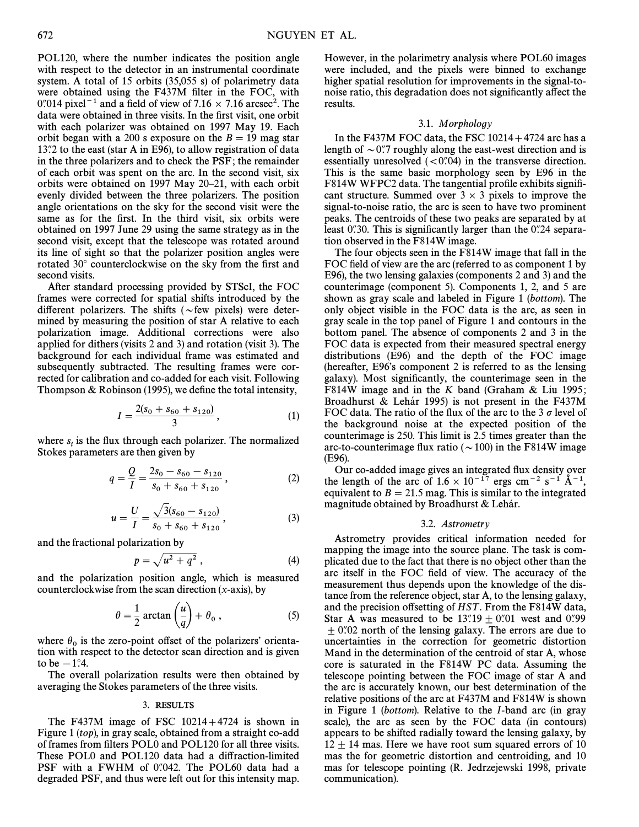POL120, where the number indicates the position angle with respect to the detector in an instrumental coordinate system. A total of 15 orbits (35,055 s) of polarimetry data were obtained using the F437M filter in the FOC, with 0.7014 pixel<sup>-1</sup> and a field of view of 7.16  $\times$  7.16 arcsec<sup>2</sup>. The data were obtained in three visits. In the first visit, one orbit with each polarizer was obtained on 1997 May 19. Each orbit began with a 200 s exposure on the  $B = 19$  mag star  $13$ .<sup>7</sup>2 to the east (star A in E96), to allow registration of data in the three polarizers and to check the PSF ; the remainder of each orbit was spent on the arc. In the second visit, six orbits were obtained on 1997 May  $20-21$ , with each orbit evenly divided between the three polarizers. The position angle orientations on the sky for the second visit were the same as for the first. In the third visit, six orbits were obtained on 1997 June 29 using the same strategy as in the second visit, except that the telescope was rotated around its line of sight so that the polarizer position angles were rotated  $30^\circ$  counterclockwise on the sky from the first and second visits.

After standard processing provided by STScI, the FOC frames were corrected for spatial shifts introduced by the different polarizers. The shifts ( $\sim$ few pixels) were determined by measuring the position of star A relative to each polarization image. Additional corrections were also applied for dithers (visits 2 and 3) and rotation (visit 3). The background for each individual frame was estimated and subsequently subtracted. The resulting frames were corrected for calibration and co-added for each visit. Following Thompson & Robinson (1995), we define the total intensity,

$$
I = \frac{2(s_0 + s_{60} + s_{120})}{3}, \tag{1}
$$

where  $s_i$  is the flux through each polarizer. The normalized Stokes parameters are then given by

$$
q = \frac{Q}{I} = \frac{2s_0 - s_{60} - s_{120}}{s_0 + s_{60} + s_{120}},
$$
\n(2)

$$
u = \frac{U}{I} = \frac{\sqrt{3}(s_{60} - s_{120})}{s_0 + s_{60} + s_{120}},
$$
\n(3)

and the fractional polarization by

$$
p = \sqrt{u^2 + q^2} \,,\tag{4}
$$

and the polarization position angle, which is measured

counterclockwise from the scan direction (x-axis), by  
\n
$$
\theta = \frac{1}{2} \arctan\left(\frac{u}{q}\right) + \theta_0,
$$
\n(5)

where  $\theta_0$  is the zero-point offset of the polarizers' orientation with respect to the detector scan direction and is given to be  $-1$ <sup>o</sup>.4.

The overall polarization results were then obtained by averaging the Stokes parameters of the three visits.

# 3. RESULTS

The F437M image of FSC  $10214+4724$  is shown in Figure 1 (top), in gray scale, obtained from a straight co-add of frames from filters POL0 and POL120 for all three visits. These POL0 and POL120 data had a diffraction-limited PSF with a FWHM of 0.042. The POL60 data had a degraded PSF, and thus were left out for this intensity map. However, in the polarimetry analysis where POL60 images were included, and the pixels were binned to exchange higher spatial resolution for improvements in the signal-tonoise ratio, this degradation does not significantly affect the results.

#### 3.1. Morphology

In the F437M FOC data, the FSC  $10214 + 4724$  arc has a length of  $\sim 0$ .7 roughly along the east-west direction and is essentially unresolved  $( $0$ ),04$  in the transverse direction. This is the same basic morphology seen by E96 in the F814W WFPC2 data. The tangential profile exhibits significant structure. Summed over  $3 \times 3$  pixels to improve the signal-to-noise ratio, the arc is seen to have two prominent peaks. The centroids of these two peaks are separated by at least 0"30. This is significantly larger than the 0"24 separation observed in the F814W image.

The four objects seen in the F814W image that fall in the FOC field of view are the arc (referred to as component 1 by E96), the two lensing galaxies (components 2 and 3) and the counterimage (component 5). Components 1, 2, and 5 are shown as gray scale and labeled in Figure 1 (bottom). The only object visible in the FOC data is the arc, as seen in gray scale in the top panel of Figure 1 and contours in the bottom panel. The absence of components 2 and 3 in the FOC data is expected from their measured spectral energy distributions (E96) and the depth of the FOC image (hereafter,  $E96$ 's component 2 is referred to as the lensing galaxy). Most significantly, the counterimage seen in the F814W image and in the K band (Graham & Liu 1995; Broadhurst & Lehár 1995) is not present in the F437M FOC data. The ratio of the flux of the arc to the 3  $\sigma$  level of the background noise at the expected position of the counterimage is 250. This limit is 2.5 times greater than the arc-to-counterimage flux ratio ( $\sim$  100) in the F814W image (E96).

Our co-added image gives an integrated flux density over the length of the arc of  $1.6 \times 10^{-17}$  ergs cm<sup>-2</sup> s<sup>-1</sup> A<sup>-1</sup>, equivalent to  $B = 21.5$  mag. This is similar to the integrated magnitude obtained by Broadhurst & Lehár.

#### 3.2. Astrometry

Astrometry provides critical information needed for mapping the image into the source plane. The task is complicated due to the fact that there is no object other than the arc itself in the FOC field of view. The accuracy of the measurement thus depends upon the knowledge of the distance from the reference object, star A, to the lensing galaxy, and the precision offsetting of HST. From the F814W data, Star A was measured to be  $13\overset{''}{.}19 \pm 0\overset{''}{.}01$  west and 0.99  $\pm$  0.702 north of the lensing galaxy. The errors are due to uncertainties in the correction for geometric distortion Mand in the determination of the centroid of star A, whose core is saturated in the F814W PC data. Assuming the telescope pointing between the FOC image of star A and the arc is accurately known, our best determination of the relative positions of the arc at F437M and F814W is shown in Figure 1 (bottom). Relative to the I-band arc (in gray scale), the arc as seen by the FOC data (in contours) appears to be shifted radially toward the lensing galaxy, by  $12 + 14$  mas. Here we have root sum squared errors of 10 mas the for geometric distortion and centroiding, and 10 mas for telescope pointing (R. Jedrzejewski 1998, private communication).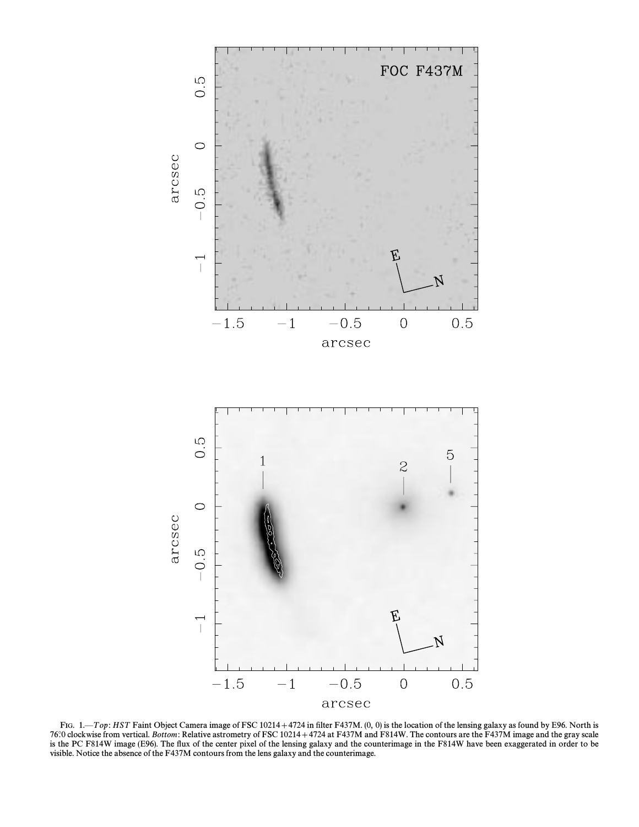

FIG.  $1$ , $\overline{p}$  Top: HST Faint Object Camera image of FSC 10214+4724 in filter F437M. (0, 0) is the location of the lensing galaxy as found by E96. North is 76°.0 clockwise from vertical. Bottom: Relative astrometry of FSC 10214+4724 at F437M and F814W. The contours are the F437M image and the gray scale is the PC F814W image (E96). The flux of the center pixel of the lensing galaxy and the counterimage in the F814W have been exaggerated in order to be visible. Notice the absence of the F437M contours from the lens galaxy and the counterimage.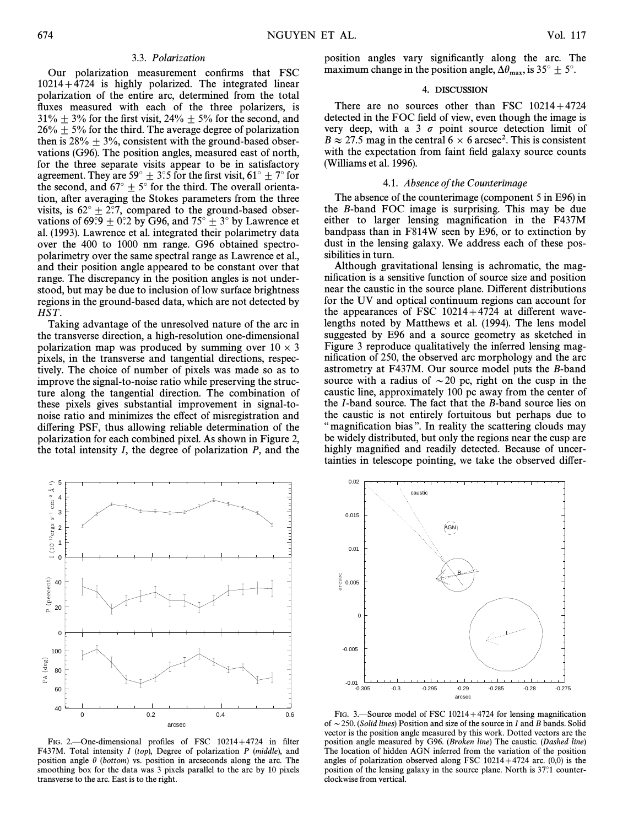# 3.3. Polarization

Our polarization measurement confirms that FSC  $10214+4724$  is highly polarized. The integrated linear polarization of the entire arc, determined from the total fluxes measured with each of the three polarizers, is  $31\% \pm 3\%$  for the first visit,  $24\% \pm 5\%$  for the second, and  $26\% \pm 5\%$  for the third. The average degree of polarization then is  $28\% \pm 3\%$ , consistent with the ground-based observations (G96). The position angles, measured east of north, for the three separate visits appear to be in satisfactory agreement. They are 59 $^{\circ}$   $\pm$  3°.5 for the first visit, 61 $^{\circ}$   $\pm$  7 $^{\circ}$  for the second, and  $67^{\circ} \pm 5^{\circ}$  for the third. The overall orientation, after averaging the Stokes parameters from the three visits, is  $62^{\circ} \pm 2$ :7, compared to the ground-based observations of 69°.9  $\pm$  0°.2 by G96, and 75°  $\pm$  3° by Lawrence et al. (1993). Lawrence et al. integrated their polarimetry data over the 400 to 1000 nm range. G96 obtained spectropolarimetry over the same spectral range as Lawrence et al., and their position angle appeared to be constant over that range. The discrepancy in the position angles is not understood, but may be due to inclusion of low surface brightness regions in the ground-based data, which are not detected by HST.

Taking advantage of the unresolved nature of the arc in the transverse direction, a high-resolution one-dimensional polarization map was produced by summing over  $10 \times 3$ pixels, in the transverse and tangential directions, respectively. The choice of number of pixels was made so as to improve the signal-to-noise ratio while preserving the structure along the tangential direction. The combination of these pixels gives substantial improvement in signal-tonoise ratio and minimizes the e†ect of misregistration and differing PSF, thus allowing reliable determination of the polarization for each combined pixel. As shown in Figure 2, the total intensity  $I$ , the degree of polarization  $P$ , and the



FIG. 2.One-dimensional profiles of FSC 10214+4724 in filter F437M. Total intensity  $I (top)$ , Degree of polarization  $P (middle)$ , and position angle  $\theta$  (bottom) vs. position in arcseconds along the arc. The smoothing box for the data was 3 pixels parallel to the arc by 10 pixels transverse to the arc. East is to the right.

position angles vary significantly along the arc. The maximum change in the position angle,  $\Delta \theta_{\text{max}}$ , is 35°  $\pm$  5°.

# 4. DISCUSSION

There are no sources other than FSC  $10214+4724$ detected in the FOC field of view, even though the image is very deep, with a 3  $\sigma$  point source detection limit of  $B \approx 27.5$  mag in the central 6  $\times$  6 arcsec<sup>2</sup>. This is consistent with the expectation from faint field galaxy source counts (Williams et al. 1996).

### 4.1. Absence of the Counterimage

The absence of the counterimage (component 5 in E96) in the B-band FOC image is surprising. This may be due either to larger lensing magnification in the F437M bandpass than in F814W seen by E96, or to extinction by dust in the lensing galaxy. We address each of these possibilities in turn.

Although gravitational lensing is achromatic, the magnification is a sensitive function of source size and position near the caustic in the source plane. Different distributions for the UV and optical continuum regions can account for the appearances of FSC  $10214+4724$  at different wavelengths noted by Matthews et al. (1994). The lens model suggested by E96 and a source geometry as sketched in Figure 3 reproduce qualitatively the inferred lensing magnification of 250, the observed arc morphology and the arc astrometry at F437M. Our source model puts the B-band source with a radius of  $\sim$  20 pc, right on the cusp in the caustic line, approximately 100 pc away from the center of the I-band source. The fact that the B-band source lies on the caustic is not entirely fortuitous but perhaps due to " magnification bias". In reality the scattering clouds may be widely distributed, but only the regions near the cusp are highly magnified and readily detected. Because of uncertainties in telescope pointing, we take the observed di†er-



FIG. 3.—Source model of FSC  $10214+4724$  for lensing magnification of  $\sim$  250. (Solid lines) Position and size of the source in I and B bands. Solid vector is the position angle measured by this work. Dotted vectors are the position angle measured by G96. (Broken line) The caustic. (Dashed line) The location of hidden AGN inferred from the variation of the position angles of polarization observed along FSC  $10214+4724$  arc. (0,0) is the position of the lensing galaxy in the source plane. North is 37°.1 counterclockwise from vertical.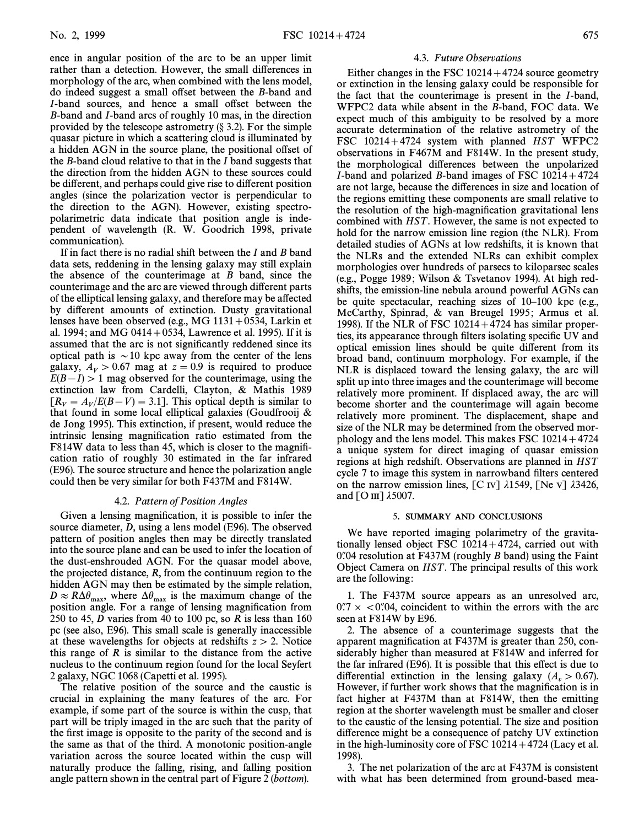ence in angular position of the arc to be an upper limit rather than a detection. However, the small differences in morphology of the arc, when combined with the lens model, do indeed suggest a small offset between the B-band and I-band sources, and hence a small offset between the B-band and I-band arcs of roughly 10 mas, in the direction provided by the telescope astrometry  $(\S 3.2)$ . For the simple quasar picture in which a scattering cloud is illuminated by a hidden AGN in the source plane, the positional offset of the  $B$ -band cloud relative to that in the  $I$  band suggests that the direction from the hidden AGN to these sources could be different, and perhaps could give rise to different position angles (since the polarization vector is perpendicular to the direction to the AGN). However, existing spectropolarimetric data indicate that position angle is independent of wavelength (R. W. Goodrich 1998, private communication).

If in fact there is no radial shift between the  $I$  and  $B$  band data sets, reddening in the lensing galaxy may still explain the absence of the counterimage at  $B$  band, since the counterimage and the arc are viewed through di†erent parts of the elliptical lensing galaxy, and therefore may be a†ected by different amounts of extinction. Dusty gravitational lenses have been observed (e.g., MG  $1131+0534$ , Larkin et al. 1994; and MG 0414 + 0534, Lawrence et al. 1995). If it is assumed that the arc is not significantly reddened since its optical path is  $\sim$  10 kpc away from the center of the lens galaxy,  $A_V > 0.67$  mag at  $z = 0.9$  is required to produce  $E(B-I) > 1$  mag observed for the counterimage, using the extinction law from Cardelli, Clayton, & Mathis 1989  $[R_V = A_V/E(B-V) = 3.1]$ . This optical depth is similar to that found in some local elliptical galaxies (Goudfroni & that found in some local elliptical galaxies (Goudfrooij  $\&$ de Jong 1995). This extinction, if present, would reduce the intrinsic lensing magnification ratio estimated from the F814W data to less than 45, which is closer to the magnification ratio of roughly 30 estimated in the far infrared (E96). The source structure and hence the polarization angle could then be very similar for both F437M and F814W.

# 4.2. Pattern of Position Angles

Given a lensing magnification, it is possible to infer the source diameter, D, using a lens model (E96). The observed pattern of position angles then may be directly translated into the source plane and can be used to infer the location of the dust-enshrouded AGN. For the quasar model above, the projected distance, R, from the continuum region to the hidden AGN may then be estimated by the simple relation,  $D \approx R\Delta\theta_{\text{max}}$ , where  $\Delta\theta_{\text{max}}$  is the maximum change of the position angle. For a range of lensing magnification from 250 to 45, D varies from 40 to 100 pc, so R is less than  $160$ pc (see also, E96). This small scale is generally inaccessible at these wavelengths for objects at redshifts  $z > 2$ . Notice this range of  $R$  is similar to the distance from the active nucleus to the continuum region found for the local Seyfert 2 galaxy, NGC 1068 (Capetti et al. 1995).

The relative position of the source and the caustic is crucial in explaining the many features of the arc. For example, if some part of the source is within the cusp, that part will be triply imaged in the arc such that the parity of the first image is opposite to the parity of the second and is the same as that of the third. A monotonic position-angle variation across the source located within the cusp will naturally produce the falling, rising, and falling position angle pattern shown in the central part of Figure 2 (bottom).

#### 4.3. Future Observations

Either changes in the FSC  $10214 + 4724$  source geometry or extinction in the lensing galaxy could be responsible for the fact that the counterimage is present in the I-band, WFPC2 data while absent in the B-band, FOC data. We expect much of this ambiguity to be resolved by a more accurate determination of the relative astrometry of the FSC  $10214+4724$  system with planned HST WFPC2 observations in F467M and F814W. In the present study, the morphological di†erences between the unpolarized I-band and polarized B-band images of FSC  $10214+4724$ are not large, because the di†erences in size and location of the regions emitting these components are small relative to the resolution of the high-magnification gravitational lens combined with HST . However, the same is not expected to hold for the narrow emission line region (the NLR). From detailed studies of AGNs at low redshifts, it is known that the NLRs and the extended NLRs can exhibit complex morphologies over hundreds of parsecs to kiloparsec scales (e.g., Pogge 1989 ; Wilson & Tsvetanov 1994). At high redshifts, the emission-line nebula around powerful AGNs can be quite spectacular, reaching sizes of  $10-100$  kpc (e.g., McCarthy, Spinrad, & van Breugel 1995; Armus et al. 1998). If the NLR of FSC  $10214+4724$  has similar properties, its appearance through filters isolating specific UV and optical emission lines should be quite di†erent from its broad band, continuum morphology. For example, if the NLR is displaced toward the lensing galaxy, the arc will split up into three images and the counterimage will become relatively more prominent. If displaced away, the arc will become shorter and the counterimage will again become relatively more prominent. The displacement, shape and size of the NLR may be determined from the observed morphology and the lens model. This makes FSC  $10214+4724$ a unique system for direct imaging of quasar emission regions at high redshift. Observations are planned in HST cycle 7 to image this system in narrowband filters centered on the narrow emission lines,  $\begin{bmatrix} C \\ W \end{bmatrix}$   $\lambda$ 1549,  $\begin{bmatrix} Ne \\ W \end{bmatrix}$   $\lambda$ 3426, and  $[O \text{ III}]$   $\lambda$ 5007.

#### 5. SUMMARY AND CONCLUSIONS

We have reported imaging polarimetry of the gravitationally lensed object FSC  $10214+4724$ , carried out with  $0$ . 0.4 resolution at F437M (roughly B band) using the Faint Object Camera on *HST*. The principal results of this work are the following :

1. The F437M source appears as an unresolved arc,  $0.7 \times 0.04$ , coincident to within the errors with the arc seen at F814W by E96.

2. The absence of a counterimage suggests that the apparent magnification at F437M is greater than 250, considerably higher than measured at F814W and inferred for the far infrared  $(E96)$ . It is possible that this effect is due to differential extinction in the lensing galaxy  $(A_v > 0.67)$ .<br>However if further work shows that the magnification is in However, if further work shows that the magnification is in fact higher at F437M than at F814W, then the emitting region at the shorter wavelength must be smaller and closer to the caustic of the lensing potential. The size and position difference might be a consequence of patchy UV extinction in the high-luminosity core of FSC  $10214 + 4724$  (Lacy et al. 1998).

3. The net polarization of the arc at F437M is consistent with what has been determined from ground-based mea